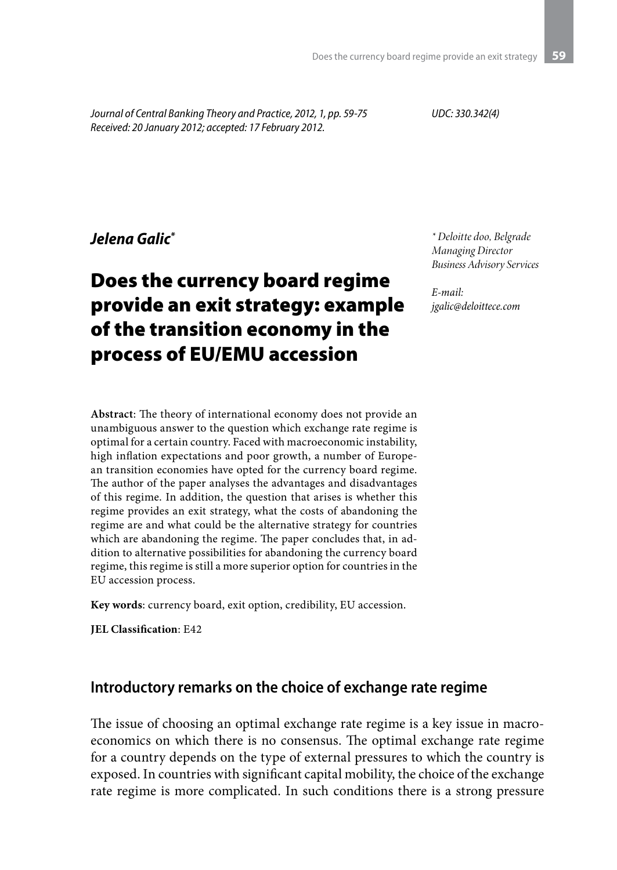*Journal of Central Banking Theory and Practice, 2012, 1, pp. 59-75 Received: 20 January 2012; accepted: 17 February 2012.*

*UDC: 330.342(4)*

#### *Jelena Galic\**

# Does the currency board regime provide an exit strategy: example of the transition economy in the process of EU/EMU accession

**Abstract**: The theory of international economy does not provide an unambiguous answer to the question which exchange rate regime is optimal for a certain country. Faced with macroeconomic instability, high inflation expectations and poor growth, a number of European transition economies have opted for the currency board regime. The author of the paper analyses the advantages and disadvantages of this regime. In addition, the question that arises is whether this regime provides an exit strategy, what the costs of abandoning the regime are and what could be the alternative strategy for countries which are abandoning the regime. The paper concludes that, in addition to alternative possibilities for abandoning the currency board regime, this regime is still a more superior option for countries in the EU accession process.

**Key words**: currency board, exit option, credibility, EU accession.

**JEL Classification**: E42

#### **Introductory remarks on the choice of exchange rate regime**

The issue of choosing an optimal exchange rate regime is a key issue in macroeconomics on which there is no consensus. The optimal exchange rate regime for a country depends on the type of external pressures to which the country is exposed. In countries with significant capital mobility, the choice of the exchange rate regime is more complicated. In such conditions there is a strong pressure

*\* Deloitte doo, Belgrade Managing Director Business Advisory Services*

*E-mail: jgalic@deloittece.com*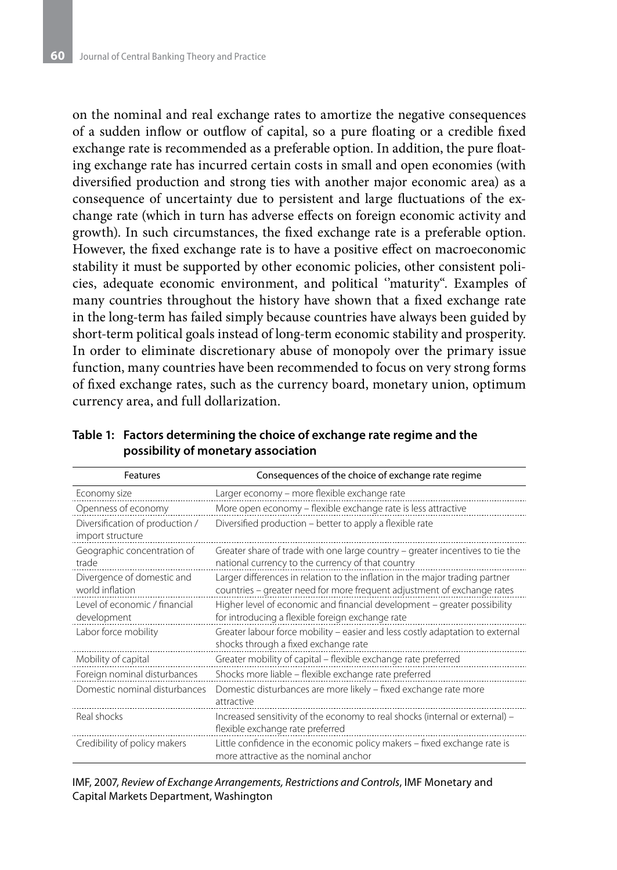on the nominal and real exchange rates to amortize the negative consequences of a sudden inflow or outflow of capital, so a pure floating or a credible fixed exchange rate is recommended as a preferable option. In addition, the pure floating exchange rate has incurred certain costs in small and open economies (with diversified production and strong ties with another major economic area) as a consequence of uncertainty due to persistent and large fluctuations of the exchange rate (which in turn has adverse effects on foreign economic activity and growth). In such circumstances, the fixed exchange rate is a preferable option. However, the fixed exchange rate is to have a positive effect on macroeconomic stability it must be supported by other economic policies, other consistent policies, adequate economic environment, and political ''maturity". Examples of many countries throughout the history have shown that a fixed exchange rate in the long-term has failed simply because countries have always been guided by short-term political goals instead of long-term economic stability and prosperity. In order to eliminate discretionary abuse of monopoly over the primary issue function, many countries have been recommended to focus on very strong forms of fixed exchange rates, such as the currency board, monetary union, optimum currency area, and full dollarization.

**Table 1: Factors determining the choice of exchange rate regime and the possibility of monetary association** 

| Features                                            | Consequences of the choice of exchange rate regime                                                                                                      |  |  |
|-----------------------------------------------------|---------------------------------------------------------------------------------------------------------------------------------------------------------|--|--|
| Economy size                                        | Larger economy – more flexible exchange rate                                                                                                            |  |  |
| Openness of economy                                 | More open economy - flexible exchange rate is less attractive                                                                                           |  |  |
| Diversification of production /<br>import structure | Diversified production - better to apply a flexible rate                                                                                                |  |  |
| Geographic concentration of<br>trade                | Greater share of trade with one large country – greater incentives to tie the<br>national currency to the currency of that country                      |  |  |
| Divergence of domestic and<br>world inflation       | Larger differences in relation to the inflation in the major trading partner<br>countries - greater need for more frequent adjustment of exchange rates |  |  |
| Level of economic / financial<br>development        | Higher level of economic and financial development - greater possibility<br>for introducing a flexible foreign exchange rate                            |  |  |
| Labor force mobility                                | Greater labour force mobility – easier and less costly adaptation to external<br>shocks through a fixed exchange rate                                   |  |  |
| Mobility of capital                                 | Greater mobility of capital - flexible exchange rate preferred                                                                                          |  |  |
| Foreign nominal disturbances                        | Shocks more liable - flexible exchange rate preferred                                                                                                   |  |  |
| Domestic nominal disturbances                       | Domestic disturbances are more likely - fixed exchange rate more<br>attractive                                                                          |  |  |
| Real shocks                                         | Increased sensitivity of the economy to real shocks (internal or external) -<br>flexible exchange rate preferred                                        |  |  |
| Credibility of policy makers                        | Little confidence in the economic policy makers - fixed exchange rate is<br>more attractive as the nominal anchor                                       |  |  |

IMF, 2007, *Review of Exchange Arrangements, Restrictions and Controls*, IMF Monetary and Capital Markets Department, Washington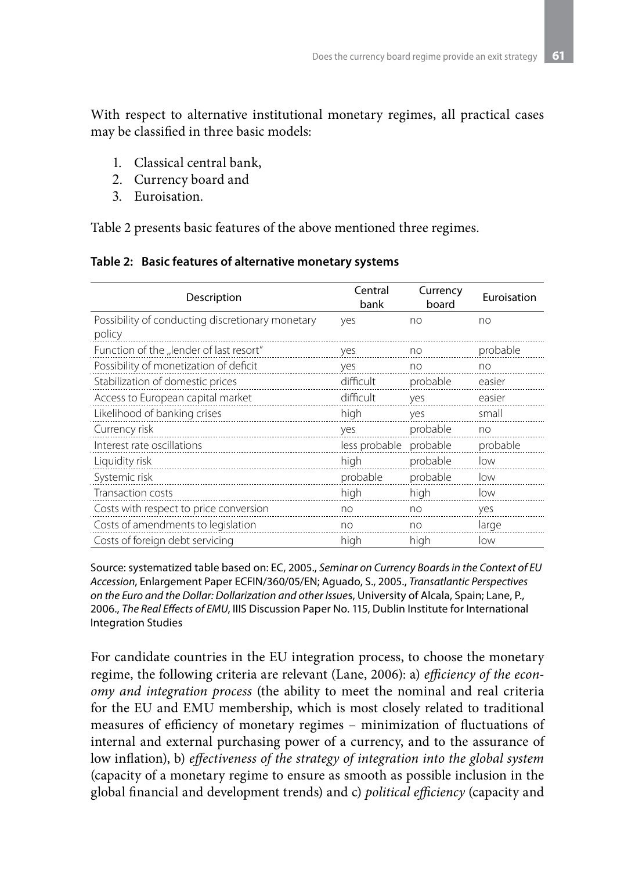With respect to alternative institutional monetary regimes, all practical cases may be classified in three basic models:

- 1. Classical central bank,
- 2. Currency board and
- 3. Euroisation.

Table 2 presents basic features of the above mentioned three regimes.

|  |  |  | Table 2: Basic features of alternative monetary systems |
|--|--|--|---------------------------------------------------------|
|--|--|--|---------------------------------------------------------|

| Description                                                | Central<br>bank | Currency<br>board | Euroisation |
|------------------------------------------------------------|-----------------|-------------------|-------------|
| Possibility of conducting discretionary monetary<br>policy | yes             | no                | no          |
| Function of the "lender of last resort"                    | yes             | no                | probable    |
| Possibility of monetization of deficit                     | yes             | no                | no          |
| Stabilization of domestic prices                           | difficult       | probable          | easier      |
| Access to European capital market                          | difficult       | yes               | easier      |
| Likelihood of banking crises                               | high            | yes               | small       |
| Currency risk                                              | yes             | probable          | no          |
| Interest rate oscillations                                 | less probable   | probable          | probable    |
| Liquidity risk                                             | high            | probable          | low         |
| Systemic risk                                              | probable        | probable          | low         |
| Transaction costs                                          | high            | high              | low         |
| Costs with respect to price conversion                     | no              | no                | yes         |
| Costs of amendments to legislation                         | no              | no                | large       |
| Costs of foreign debt servicing                            | high            | high              | low         |

Source: systematized table based on: EC, 2005., *Seminar on Currency Boards in the Context of EU Accession*, Enlargement Paper ECFIN/360/05/EN; Aguado, S., 2005., *Transatlantic Perspectives on the Euro and the Dollar: Dollarization and other Issue*s, University of Alcala, Spain; Lane, P., 2006., *The Real Effects of EMU*, IIIS Discussion Paper No. 115, Dublin Institute for International Integration Studies

For candidate countries in the EU integration process, to choose the monetary regime, the following criteria are relevant (Lane, 2006): a) *efficiency of the economy and integration process* (the ability to meet the nominal and real criteria for the EU and EMU membership, which is most closely related to traditional measures of efficiency of monetary regimes – minimization of fluctuations of internal and external purchasing power of a currency, and to the assurance of low inflation), b) *effectiveness of the strategy of integration into the global system* (capacity of a monetary regime to ensure as smooth as possible inclusion in the global financial and development trends) and c) *political efficiency* (capacity and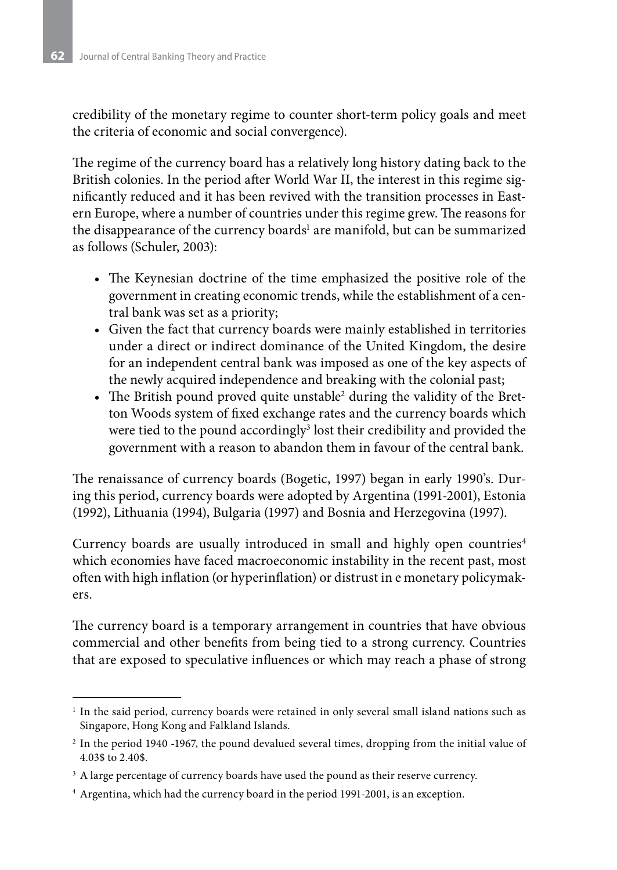credibility of the monetary regime to counter short-term policy goals and meet the criteria of economic and social convergence).

The regime of the currency board has a relatively long history dating back to the British colonies. In the period after World War II, the interest in this regime significantly reduced and it has been revived with the transition processes in Eastern Europe, where a number of countries under this regime grew. The reasons for the disappearance of the currency boards<sup>1</sup> are manifold, but can be summarized as follows (Schuler, 2003):

- The Keynesian doctrine of the time emphasized the positive role of the government in creating economic trends, while the establishment of a central bank was set as a priority;
- • Given the fact that currency boards were mainly established in territories under a direct or indirect dominance of the United Kingdom, the desire for an independent central bank was imposed as one of the key aspects of the newly acquired independence and breaking with the colonial past;
- The British pound proved quite unstable<sup>2</sup> during the validity of the Bretton Woods system of fixed exchange rates and the currency boards which were tied to the pound accordingly<sup>3</sup> lost their credibility and provided the government with a reason to abandon them in favour of the central bank.

The renaissance of currency boards (Bogetic, 1997) began in early 1990's. During this period, currency boards were adopted by Argentina (1991-2001), Estonia (1992), Lithuania (1994), Bulgaria (1997) and Bosnia and Herzegovina (1997).

Currency boards are usually introduced in small and highly open countries<sup>4</sup> which economies have faced macroeconomic instability in the recent past, most often with high inflation (or hyperinflation) or distrust in e monetary policymakers.

The currency board is a temporary arrangement in countries that have obvious commercial and other benefits from being tied to a strong currency. Countries that are exposed to speculative influences or which may reach a phase of strong

<sup>&</sup>lt;sup>1</sup> In the said period, currency boards were retained in only several small island nations such as Singapore, Hong Kong and Falkland Islands.

<sup>2</sup> In the period 1940 -1967, the pound devalued several times, dropping from the initial value of 4.03\$ to 2.40\$.

<sup>&</sup>lt;sup>3</sup> A large percentage of currency boards have used the pound as their reserve currency.

<sup>4</sup> Argentina, which had the currency board in the period 1991-2001, is an exception.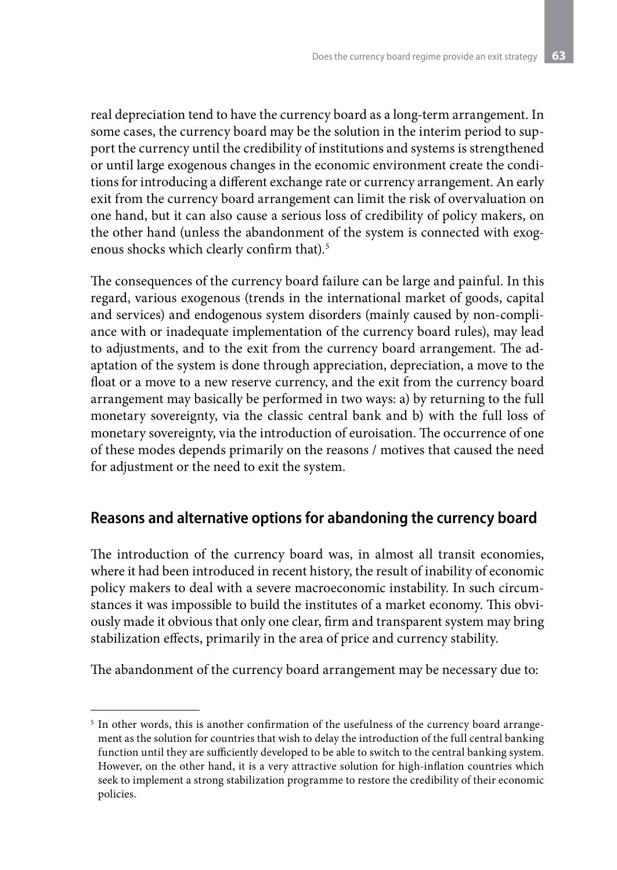real depreciation tend to have the currency board as a long-term arrangement. In some cases, the currency board may be the solution in the interim period to support the currency until the credibility of institutions and systems is strengthened or until large exogenous changes in the economic environment create the conditions for introducing a different exchange rate or currency arrangement. An early exit from the currency board arrangement can limit the risk of overvaluation on one hand, but it can also cause a serious loss of credibility of policy makers, on the other hand (unless the abandonment of the system is connected with exogenous shocks which clearly confirm that).5

The consequences of the currency board failure can be large and painful. In this regard, various exogenous (trends in the international market of goods, capital and services) and endogenous system disorders (mainly caused by non-compliance with or inadequate implementation of the currency board rules), may lead to adjustments, and to the exit from the currency board arrangement. The adaptation of the system is done through appreciation, depreciation, a move to the float or a move to a new reserve currency, and the exit from the currency board arrangement may basically be performed in two ways: a) by returning to the full monetary sovereignty, via the classic central bank and b) with the full loss of monetary sovereignty, via the introduction of euroisation. The occurrence of one of these modes depends primarily on the reasons / motives that caused the need for adjustment or the need to exit the system.

#### **Reasons and alternative options for abandoning the currency board**

The introduction of the currency board was, in almost all transit economies, where it had been introduced in recent history, the result of inability of economic policy makers to deal with a severe macroeconomic instability. In such circumstances it was impossible to build the institutes of a market economy. This obviously made it obvious that only one clear, firm and transparent system may bring stabilization effects, primarily in the area of price and currency stability.

The abandonment of the currency board arrangement may be necessary due to:

<sup>&</sup>lt;sup>5</sup> In other words, this is another confirmation of the usefulness of the currency board arrangement as the solution for countries that wish to delay the introduction of the full central banking function until they are sufficiently developed to be able to switch to the central banking system. However, on the other hand, it is a very attractive solution for high-inflation countries which seek to implement a strong stabilization programme to restore the credibility of their economic policies.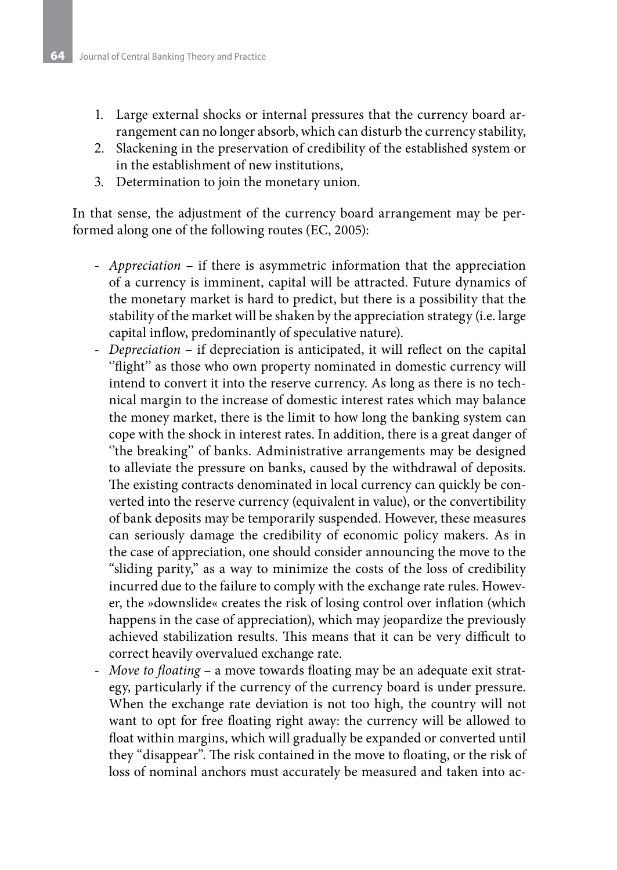- 1. Large external shocks or internal pressures that the currency board arrangement can no longer absorb, which can disturb the currency stability,
- 2. Slackening in the preservation of credibility of the established system or in the establishment of new institutions,
- 3. Determination to join the monetary union.

In that sense, the adjustment of the currency board arrangement may be performed along one of the following routes (EC, 2005):

- *Appreciation* if there is asymmetric information that the appreciation of a currency is imminent, capital will be attracted. Future dynamics of the monetary market is hard to predict, but there is a possibility that the stability of the market will be shaken by the appreciation strategy (i.e. large capital inflow, predominantly of speculative nature).
- *Depreciation* if depreciation is anticipated, it will reflect on the capital "flight" as those who own property nominated in domestic currency will intend to convert it into the reserve currency. As long as there is no technical margin to the increase of domestic interest rates which may balance the money market, there is the limit to how long the banking system can cope with the shock in interest rates. In addition, there is a great danger of "the breaking" of banks. Administrative arrangements may be designed to alleviate the pressure on banks, caused by the withdrawal of deposits. The existing contracts denominated in local currency can quickly be converted into the reserve currency (equivalent in value), or the convertibility of bank deposits may be temporarily suspended. However, these measures can seriously damage the credibility of economic policy makers. As in the case of appreciation, one should consider announcing the move to the "sliding parity," as a way to minimize the costs of the loss of credibility incurred due to the failure to comply with the exchange rate rules. However, the »downslide« creates the risk of losing control over inflation (which happens in the case of appreciation), which may jeopardize the previously achieved stabilization results. This means that it can be very difficult to correct heavily overvalued exchange rate.
- *Move to floating* a move towards floating may be an adequate exit strategy, particularly if the currency of the currency board is under pressure. When the exchange rate deviation is not too high, the country will not want to opt for free floating right away: the currency will be allowed to float within margins, which will gradually be expanded or converted until they "disappear". The risk contained in the move to floating, or the risk of loss of nominal anchors must accurately be measured and taken into ac-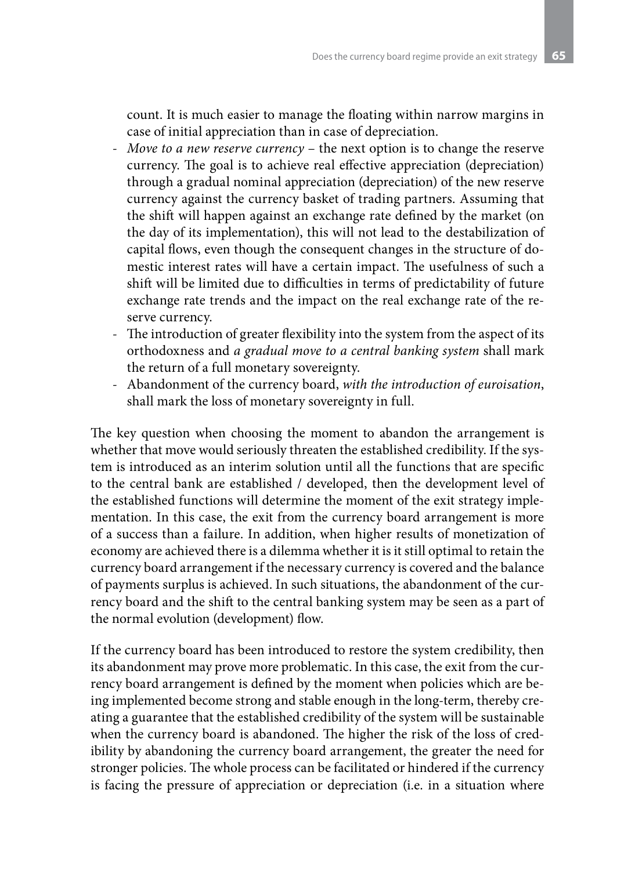count. It is much easier to manage the floating within narrow margins in case of initial appreciation than in case of depreciation.

- *Move to a new reserve currency* the next option is to change the reserve currency. The goal is to achieve real effective appreciation (depreciation) through a gradual nominal appreciation (depreciation) of the new reserve currency against the currency basket of trading partners. Assuming that the shift will happen against an exchange rate defined by the market (on the day of its implementation), this will not lead to the destabilization of capital flows, even though the consequent changes in the structure of domestic interest rates will have a certain impact. The usefulness of such a shift will be limited due to difficulties in terms of predictability of future exchange rate trends and the impact on the real exchange rate of the reserve currency.
- The introduction of greater flexibility into the system from the aspect of its orthodoxness and *a gradual move to a central banking system* shall mark the return of a full monetary sovereignty.
- Abandonment of the currency board, *with the introduction of euroisation*, shall mark the loss of monetary sovereignty in full.

The key question when choosing the moment to abandon the arrangement is whether that move would seriously threaten the established credibility. If the system is introduced as an interim solution until all the functions that are specific to the central bank are established / developed, then the development level of the established functions will determine the moment of the exit strategy implementation. In this case, the exit from the currency board arrangement is more of a success than a failure. In addition, when higher results of monetization of economy are achieved there is a dilemma whether it is it still optimal to retain the currency board arrangement if the necessary currency is covered and the balance of payments surplus is achieved. In such situations, the abandonment of the currency board and the shift to the central banking system may be seen as a part of the normal evolution (development) flow.

If the currency board has been introduced to restore the system credibility, then its abandonment may prove more problematic. In this case, the exit from the currency board arrangement is defined by the moment when policies which are being implemented become strong and stable enough in the long-term, thereby creating a guarantee that the established credibility of the system will be sustainable when the currency board is abandoned. The higher the risk of the loss of credibility by abandoning the currency board arrangement, the greater the need for stronger policies. The whole process can be facilitated or hindered if the currency is facing the pressure of appreciation or depreciation (i.e. in a situation where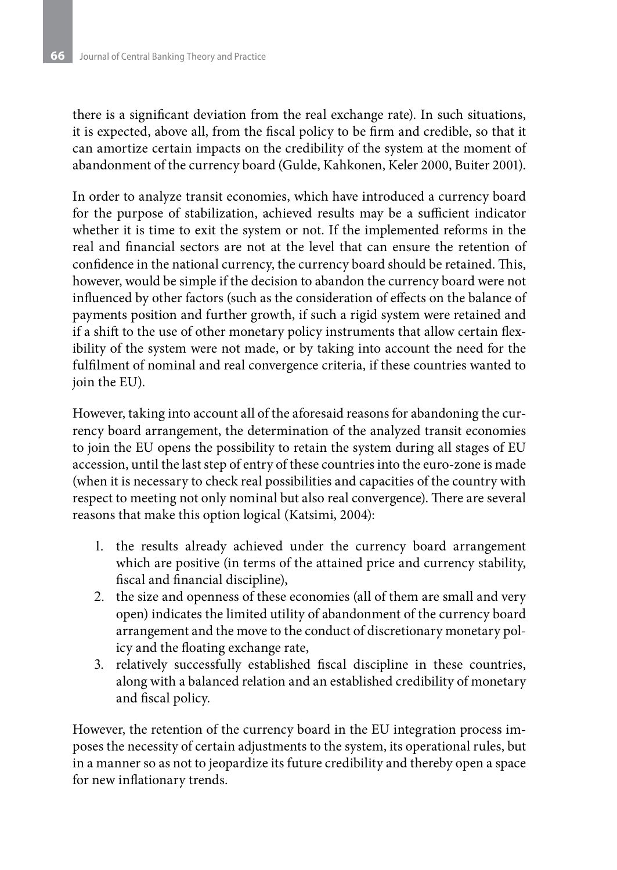there is a significant deviation from the real exchange rate). In such situations, it is expected, above all, from the fiscal policy to be firm and credible, so that it can amortize certain impacts on the credibility of the system at the moment of abandonment of the currency board (Gulde, Kahkonen, Keler 2000, Buiter 2001).

In order to analyze transit economies, which have introduced a currency board for the purpose of stabilization, achieved results may be a sufficient indicator whether it is time to exit the system or not. If the implemented reforms in the real and financial sectors are not at the level that can ensure the retention of confidence in the national currency, the currency board should be retained. This, however, would be simple if the decision to abandon the currency board were not influenced by other factors (such as the consideration of effects on the balance of payments position and further growth, if such a rigid system were retained and if a shift to the use of other monetary policy instruments that allow certain flexibility of the system were not made, or by taking into account the need for the fulfilment of nominal and real convergence criteria, if these countries wanted to join the EU).

However, taking into account all of the aforesaid reasons for abandoning the currency board arrangement, the determination of the analyzed transit economies to join the EU opens the possibility to retain the system during all stages of EU accession, until the last step of entry of these countries into the euro-zone is made (when it is necessary to check real possibilities and capacities of the country with respect to meeting not only nominal but also real convergence). There are several reasons that make this option logical (Katsimi, 2004):

- 1. the results already achieved under the currency board arrangement which are positive (in terms of the attained price and currency stability, fiscal and financial discipline),
- 2. the size and openness of these economies (all of them are small and very open) indicates the limited utility of abandonment of the currency board arrangement and the move to the conduct of discretionary monetary policy and the floating exchange rate,
- 3. relatively successfully established fiscal discipline in these countries, along with a balanced relation and an established credibility of monetary and fiscal policy.

However, the retention of the currency board in the EU integration process imposes the necessity of certain adjustments to the system, its operational rules, but in a manner so as not to jeopardize its future credibility and thereby open a space for new inflationary trends.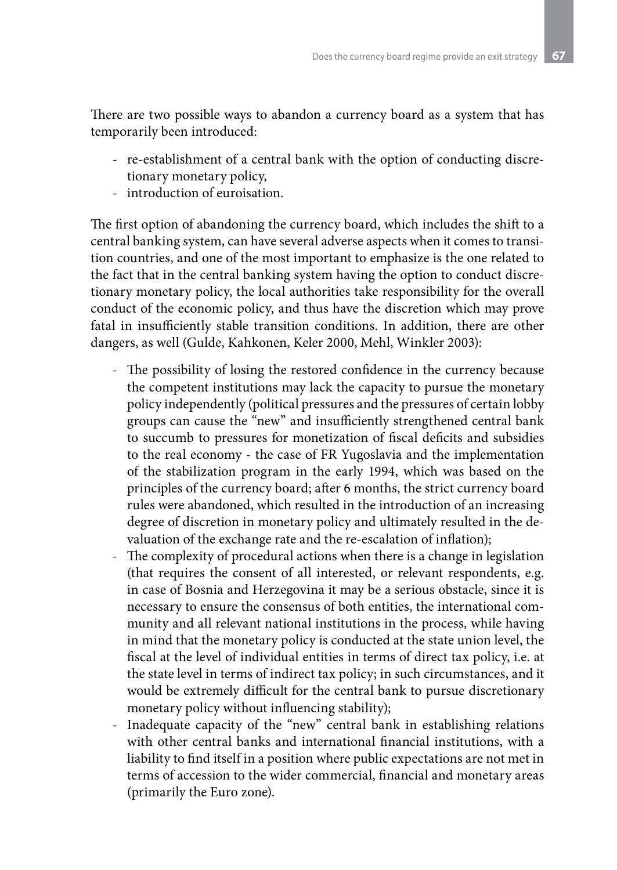There are two possible ways to abandon a currency board as a system that has temporarily been introduced:

- re-establishment of a central bank with the option of conducting discretionary monetary policy,
- introduction of euroisation.

The first option of abandoning the currency board, which includes the shift to a central banking system, can have several adverse aspects when it comes to transition countries, and one of the most important to emphasize is the one related to the fact that in the central banking system having the option to conduct discretionary monetary policy, the local authorities take responsibility for the overall conduct of the economic policy, and thus have the discretion which may prove fatal in insufficiently stable transition conditions. In addition, there are other dangers, as well (Gulde, Kahkonen, Keler 2000, Mehl, Winkler 2003):

- The possibility of losing the restored confidence in the currency because the competent institutions may lack the capacity to pursue the monetary policy independently (political pressures and the pressures of certain lobby groups can cause the "new" and insufficiently strengthened central bank to succumb to pressures for monetization of fiscal deficits and subsidies to the real economy - the case of FR Yugoslavia and the implementation of the stabilization program in the early 1994, which was based on the principles of the currency board; after 6 months, the strict currency board rules were abandoned, which resulted in the introduction of an increasing degree of discretion in monetary policy and ultimately resulted in the devaluation of the exchange rate and the re-escalation of inflation);
- The complexity of procedural actions when there is a change in legislation (that requires the consent of all interested, or relevant respondents, e.g. in case of Bosnia and Herzegovina it may be a serious obstacle, since it is necessary to ensure the consensus of both entities, the international community and all relevant national institutions in the process, while having in mind that the monetary policy is conducted at the state union level, the fiscal at the level of individual entities in terms of direct tax policy, i.e. at the state level in terms of indirect tax policy; in such circumstances, and it would be extremely difficult for the central bank to pursue discretionary monetary policy without influencing stability);
- Inadequate capacity of the "new" central bank in establishing relations with other central banks and international financial institutions, with a liability to find itself in a position where public expectations are not met in terms of accession to the wider commercial, financial and monetary areas (primarily the Euro zone).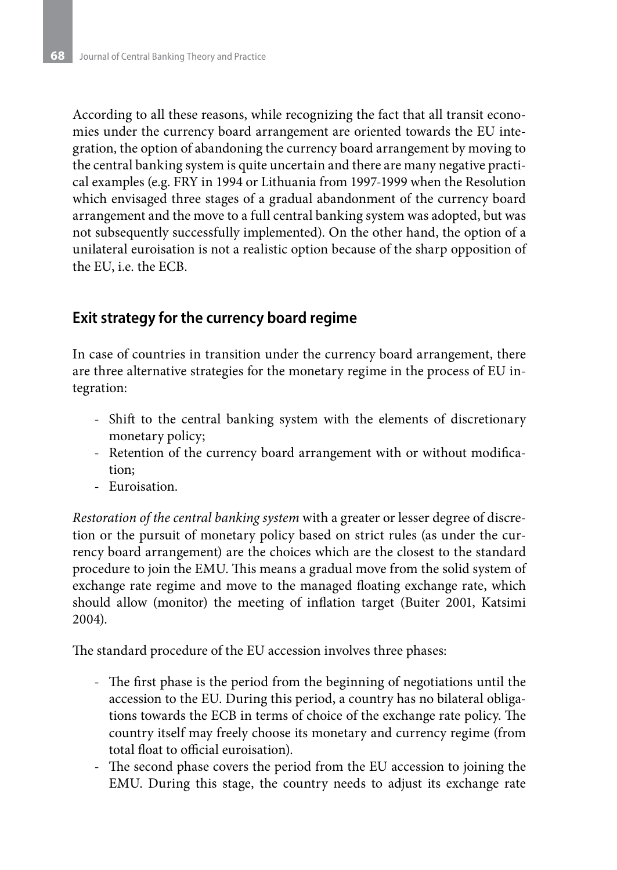According to all these reasons, while recognizing the fact that all transit economies under the currency board arrangement are oriented towards the EU integration, the option of abandoning the currency board arrangement by moving to the central banking system is quite uncertain and there are many negative practical examples (e.g. FRY in 1994 or Lithuania from 1997-1999 when the Resolution which envisaged three stages of a gradual abandonment of the currency board arrangement and the move to a full central banking system was adopted, but was not subsequently successfully implemented). On the other hand, the option of a unilateral euroisation is not a realistic option because of the sharp opposition of the EU, i.e. the ECB.

### **Exit strategy for the currency board regime**

In case of countries in transition under the currency board arrangement, there are three alternative strategies for the monetary regime in the process of EU integration:

- Shift to the central banking system with the elements of discretionary monetary policy;
- Retention of the currency board arrangement with or without modification;
- Euroisation.

*Restoration of the central banking system* with a greater or lesser degree of discretion or the pursuit of monetary policy based on strict rules (as under the currency board arrangement) are the choices which are the closest to the standard procedure to join the EMU. This means a gradual move from the solid system of exchange rate regime and move to the managed floating exchange rate, which should allow (monitor) the meeting of inflation target (Buiter 2001, Katsimi 2004).

The standard procedure of the EU accession involves three phases:

- The first phase is the period from the beginning of negotiations until the accession to the EU. During this period, a country has no bilateral obligations towards the ECB in terms of choice of the exchange rate policy. The country itself may freely choose its monetary and currency regime (from total float to official euroisation).
- The second phase covers the period from the EU accession to joining the EMU. During this stage, the country needs to adjust its exchange rate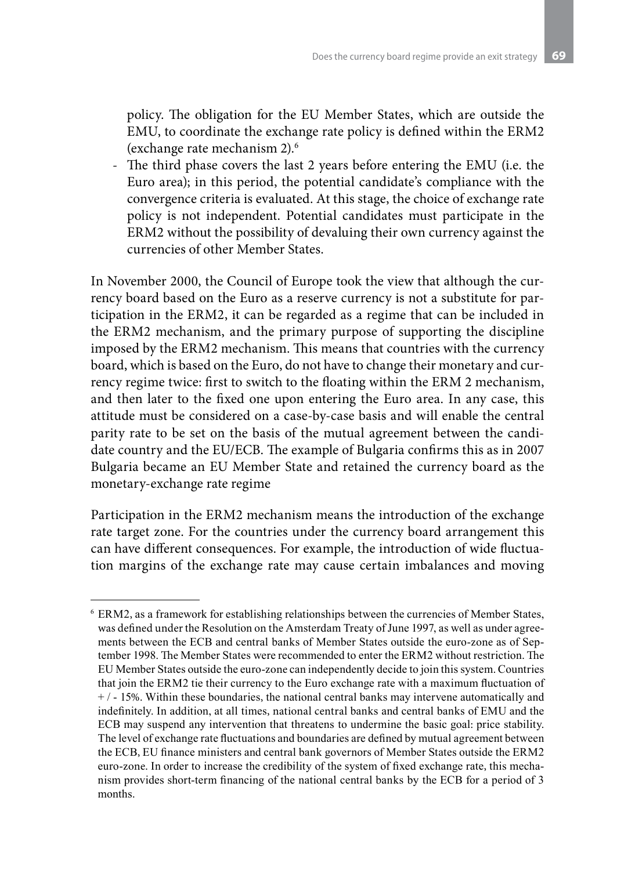policy. The obligation for the EU Member States, which are outside the EMU, to coordinate the exchange rate policy is defined within the ERM2 (exchange rate mechanism 2).6

- The third phase covers the last 2 years before entering the EMU (i.e. the Euro area); in this period, the potential candidate's compliance with the convergence criteria is evaluated. At this stage, the choice of exchange rate policy is not independent. Potential candidates must participate in the ERM2 without the possibility of devaluing their own currency against the currencies of other Member States.

In November 2000, the Council of Europe took the view that although the currency board based on the Euro as a reserve currency is not a substitute for participation in the ERM2, it can be regarded as a regime that can be included in the ERM2 mechanism, and the primary purpose of supporting the discipline imposed by the ERM2 mechanism. This means that countries with the currency board, which is based on the Euro, do not have to change their monetary and currency regime twice: first to switch to the floating within the ERM 2 mechanism, and then later to the fixed one upon entering the Euro area. In any case, this attitude must be considered on a case-by-case basis and will enable the central parity rate to be set on the basis of the mutual agreement between the candidate country and the EU/ECB. The example of Bulgaria confirms this as in 2007 Bulgaria became an EU Member State and retained the currency board as the monetary-exchange rate regime

Participation in the ERM2 mechanism means the introduction of the exchange rate target zone. For the countries under the currency board arrangement this can have different consequences. For example, the introduction of wide fluctuation margins of the exchange rate may cause certain imbalances and moving

<sup>6</sup> ERM2, as a framework for establishing relationships between the currencies of Member States, was defined under the Resolution on the Amsterdam Treaty of June 1997, as well as under agreements between the ECB and central banks of Member States outside the euro-zone as of September 1998. The Member States were recommended to enter the ERM2 without restriction. The EU Member States outside the euro-zone can independently decide to join this system. Countries that join the ERM2 tie their currency to the Euro exchange rate with a maximum fluctuation of + / - 15%. Within these boundaries, the national central banks may intervene automatically and indefinitely. In addition, at all times, national central banks and central banks of EMU and the ECB may suspend any intervention that threatens to undermine the basic goal: price stability. The level of exchange rate fluctuations and boundaries are defined by mutual agreement between the ECB, EU finance ministers and central bank governors of Member States outside the ERM2 euro-zone. In order to increase the credibility of the system of fixed exchange rate, this mechanism provides short-term financing of the national central banks by the ECB for a period of 3 months.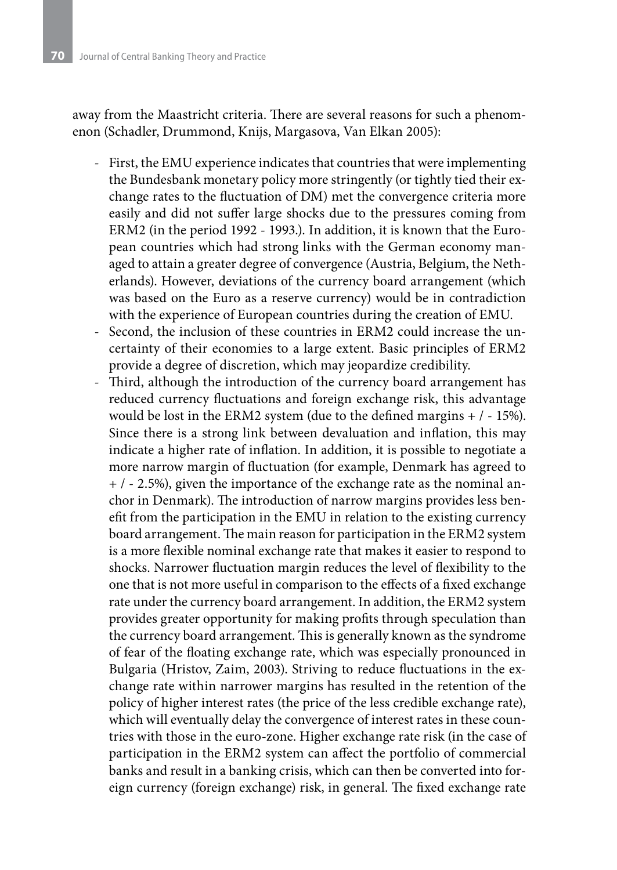away from the Maastricht criteria. There are several reasons for such a phenomenon (Schadler, Drummond, Knijs, Margasova, Van Elkan 2005):

- First, the EMU experience indicates that countries that were implementing the Bundesbank monetary policy more stringently (or tightly tied their exchange rates to the fluctuation of DM) met the convergence criteria more easily and did not suffer large shocks due to the pressures coming from ERM2 (in the period 1992 - 1993.). In addition, it is known that the European countries which had strong links with the German economy managed to attain a greater degree of convergence (Austria, Belgium, the Netherlands). However, deviations of the currency board arrangement (which was based on the Euro as a reserve currency) would be in contradiction with the experience of European countries during the creation of EMU.
- Second, the inclusion of these countries in ERM2 could increase the uncertainty of their economies to a large extent. Basic principles of ERM2 provide a degree of discretion, which may jeopardize credibility.
- Third, although the introduction of the currency board arrangement has reduced currency fluctuations and foreign exchange risk, this advantage would be lost in the ERM2 system (due to the defined margins + / - 15%). Since there is a strong link between devaluation and inflation, this may indicate a higher rate of inflation. In addition, it is possible to negotiate a more narrow margin of fluctuation (for example, Denmark has agreed to  $+$  /  $-$  2.5%), given the importance of the exchange rate as the nominal anchor in Denmark). The introduction of narrow margins provides less benefit from the participation in the EMU in relation to the existing currency board arrangement. The main reason for participation in the ERM2 system is a more flexible nominal exchange rate that makes it easier to respond to shocks. Narrower fluctuation margin reduces the level of flexibility to the one that is not more useful in comparison to the effects of a fixed exchange rate under the currency board arrangement. In addition, the ERM2 system provides greater opportunity for making profits through speculation than the currency board arrangement. This is generally known as the syndrome of fear of the floating exchange rate, which was especially pronounced in Bulgaria (Hristov, Zaim, 2003). Striving to reduce fluctuations in the exchange rate within narrower margins has resulted in the retention of the policy of higher interest rates (the price of the less credible exchange rate), which will eventually delay the convergence of interest rates in these countries with those in the euro-zone. Higher exchange rate risk (in the case of participation in the ERM2 system can affect the portfolio of commercial banks and result in a banking crisis, which can then be converted into foreign currency (foreign exchange) risk, in general. The fixed exchange rate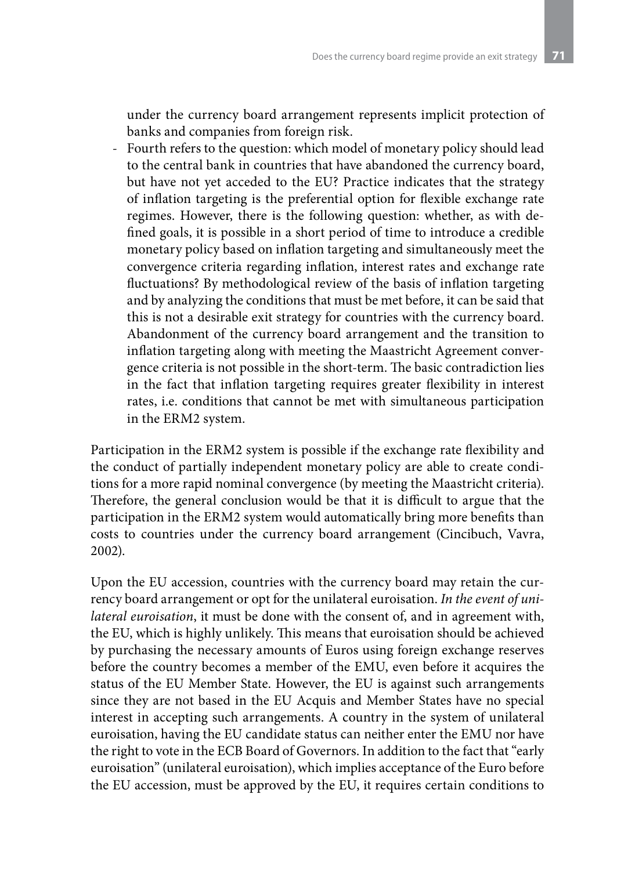under the currency board arrangement represents implicit protection of banks and companies from foreign risk.

- Fourth refers to the question: which model of monetary policy should lead to the central bank in countries that have abandoned the currency board, but have not yet acceded to the EU? Practice indicates that the strategy of inflation targeting is the preferential option for flexible exchange rate regimes. However, there is the following question: whether, as with defined goals, it is possible in a short period of time to introduce a credible monetary policy based on inflation targeting and simultaneously meet the convergence criteria regarding inflation, interest rates and exchange rate fluctuations? By methodological review of the basis of inflation targeting and by analyzing the conditions that must be met before, it can be said that this is not a desirable exit strategy for countries with the currency board. Abandonment of the currency board arrangement and the transition to inflation targeting along with meeting the Maastricht Agreement convergence criteria is not possible in the short-term. The basic contradiction lies in the fact that inflation targeting requires greater flexibility in interest rates, i.e. conditions that cannot be met with simultaneous participation in the ERM2 system.

Participation in the ERM2 system is possible if the exchange rate flexibility and the conduct of partially independent monetary policy are able to create conditions for a more rapid nominal convergence (by meeting the Maastricht criteria). Therefore, the general conclusion would be that it is difficult to argue that the participation in the ERM2 system would automatically bring more benefits than costs to countries under the currency board arrangement (Cincibuch, Vavra, 2002).

Upon the EU accession, countries with the currency board may retain the currency board arrangement or opt for the unilateral euroisation. *In the event of unilateral euroisation*, it must be done with the consent of, and in agreement with, the EU, which is highly unlikely. This means that euroisation should be achieved by purchasing the necessary amounts of Euros using foreign exchange reserves before the country becomes a member of the EMU, even before it acquires the status of the EU Member State. However, the EU is against such arrangements since they are not based in the EU Acquis and Member States have no special interest in accepting such arrangements. A country in the system of unilateral euroisation, having the EU candidate status can neither enter the EMU nor have the right to vote in the ECB Board of Governors. In addition to the fact that "early euroisation" (unilateral euroisation), which implies acceptance of the Euro before the EU accession, must be approved by the EU, it requires certain conditions to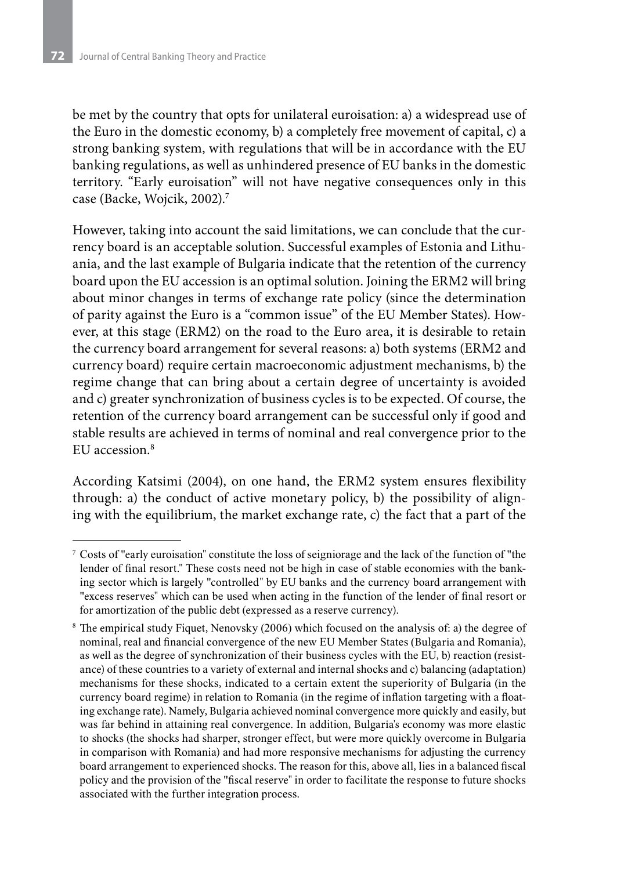be met by the country that opts for unilateral euroisation: a) a widespread use of the Euro in the domestic economy, b) a completely free movement of capital, c) a strong banking system, with regulations that will be in accordance with the EU banking regulations, as well as unhindered presence of EU banks in the domestic territory. "Early euroisation" will not have negative consequences only in this case (Backe, Wojcik, 2002).7

However, taking into account the said limitations, we can conclude that the currency board is an acceptable solution. Successful examples of Estonia and Lithuania, and the last example of Bulgaria indicate that the retention of the currency board upon the EU accession is an optimal solution. Joining the ERM2 will bring about minor changes in terms of exchange rate policy (since the determination of parity against the Euro is a "common issue" of the EU Member States). However, at this stage (ERM2) on the road to the Euro area, it is desirable to retain the currency board arrangement for several reasons: a) both systems (ERM2 and currency board) require certain macroeconomic adjustment mechanisms, b) the regime change that can bring about a certain degree of uncertainty is avoided and c) greater synchronization of business cycles is to be expected. Of course, the retention of the currency board arrangement can be successful only if good and stable results are achieved in terms of nominal and real convergence prior to the EU accession<sup>8</sup>

According Katsimi (2004), on one hand, the ERM2 system ensures flexibility through: a) the conduct of active monetary policy, b) the possibility of aligning with the equilibrium, the market exchange rate, c) the fact that a part of the

<sup>7</sup> Costs of "early euroisation" constitute the loss of seigniorage and the lack of the function of "the lender of final resort." These costs need not be high in case of stable economies with the banking sector which is largely "controlled" by EU banks and the currency board arrangement with "excess reserves" which can be used when acting in the function of the lender of final resort or for amortization of the public debt (expressed as a reserve currency).

<sup>8</sup> The empirical study Fiquet, Nenovsky (2006) which focused on the analysis of: a) the degree of nominal, real and financial convergence of the new EU Member States (Bulgaria and Romania), as well as the degree of synchronization of their business cycles with the EU, b) reaction (resistance) of these countries to a variety of external and internal shocks and c) balancing (adaptation) mechanisms for these shocks, indicated to a certain extent the superiority of Bulgaria (in the currency board regime) in relation to Romania (in the regime of inflation targeting with a floating exchange rate). Namely, Bulgaria achieved nominal convergence more quickly and easily, but was far behind in attaining real convergence. In addition, Bulgaria's economy was more elastic to shocks (the shocks had sharper, stronger effect, but were more quickly overcome in Bulgaria in comparison with Romania) and had more responsive mechanisms for adjusting the currency board arrangement to experienced shocks. The reason for this, above all, lies in a balanced fiscal policy and the provision of the "fiscal reserve" in order to facilitate the response to future shocks associated with the further integration process.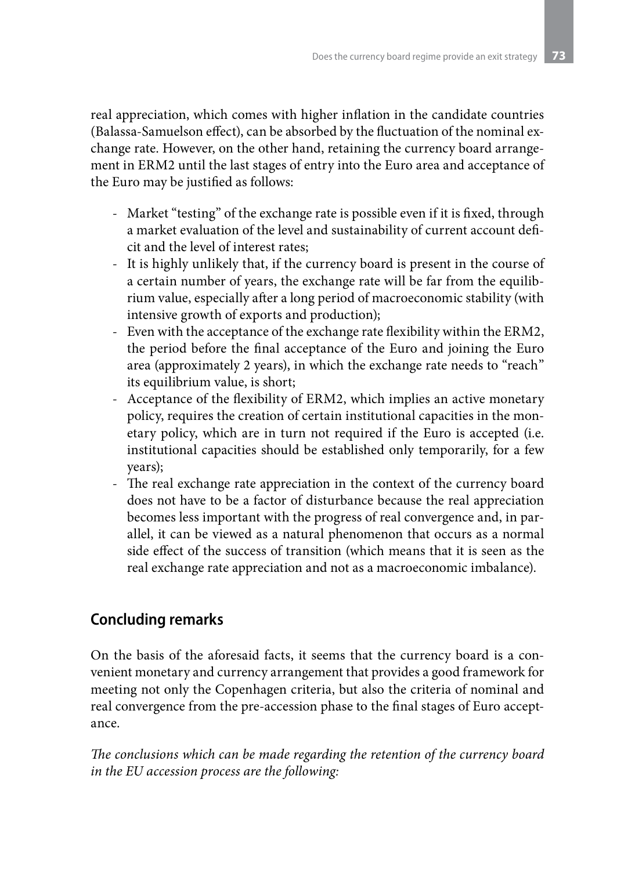real appreciation, which comes with higher inflation in the candidate countries (Balassa-Samuelson effect), can be absorbed by the fluctuation of the nominal exchange rate. However, on the other hand, retaining the currency board arrangement in ERM2 until the last stages of entry into the Euro area and acceptance of the Euro may be justified as follows:

- Market "testing" of the exchange rate is possible even if it is fixed, through a market evaluation of the level and sustainability of current account deficit and the level of interest rates;
- It is highly unlikely that, if the currency board is present in the course of a certain number of years, the exchange rate will be far from the equilibrium value, especially after a long period of macroeconomic stability (with intensive growth of exports and production);
- Even with the acceptance of the exchange rate flexibility within the ERM2, the period before the final acceptance of the Euro and joining the Euro area (approximately 2 years), in which the exchange rate needs to "reach" its equilibrium value, is short;
- Acceptance of the flexibility of ERM2, which implies an active monetary policy, requires the creation of certain institutional capacities in the monetary policy, which are in turn not required if the Euro is accepted (i.e. institutional capacities should be established only temporarily, for a few years);
- The real exchange rate appreciation in the context of the currency board does not have to be a factor of disturbance because the real appreciation becomes less important with the progress of real convergence and, in parallel, it can be viewed as a natural phenomenon that occurs as a normal side effect of the success of transition (which means that it is seen as the real exchange rate appreciation and not as a macroeconomic imbalance).

## **Concluding remarks**

On the basis of the aforesaid facts, it seems that the currency board is a convenient monetary and currency arrangement that provides a good framework for meeting not only the Copenhagen criteria, but also the criteria of nominal and real convergence from the pre-accession phase to the final stages of Euro acceptance.

*The conclusions which can be made regarding the retention of the currency board in the EU accession process are the following:*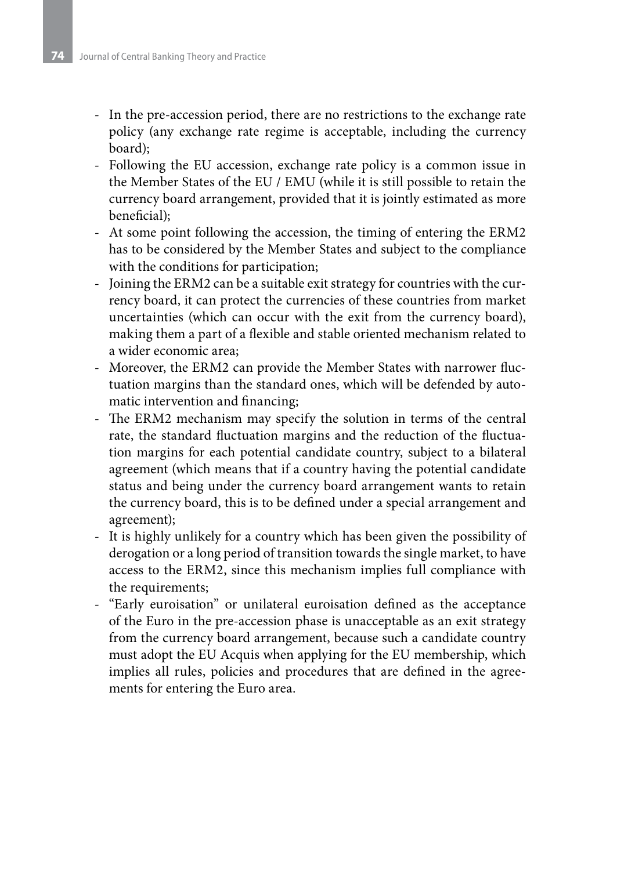- In the pre-accession period, there are no restrictions to the exchange rate policy (any exchange rate regime is acceptable, including the currency board);
- Following the EU accession, exchange rate policy is a common issue in the Member States of the EU / EMU (while it is still possible to retain the currency board arrangement, provided that it is jointly estimated as more beneficial);
- At some point following the accession, the timing of entering the ERM2 has to be considered by the Member States and subject to the compliance with the conditions for participation;
- Joining the ERM2 can be a suitable exit strategy for countries with the currency board, it can protect the currencies of these countries from market uncertainties (which can occur with the exit from the currency board), making them a part of a flexible and stable oriented mechanism related to a wider economic area;
- Moreover, the ERM2 can provide the Member States with narrower fluctuation margins than the standard ones, which will be defended by automatic intervention and financing;
- The ERM2 mechanism may specify the solution in terms of the central rate, the standard fluctuation margins and the reduction of the fluctuation margins for each potential candidate country, subject to a bilateral agreement (which means that if a country having the potential candidate status and being under the currency board arrangement wants to retain the currency board, this is to be defined under a special arrangement and agreement);
- It is highly unlikely for a country which has been given the possibility of derogation or a long period of transition towards the single market, to have access to the ERM2, since this mechanism implies full compliance with the requirements;
- "Early euroisation" or unilateral euroisation defined as the acceptance of the Euro in the pre-accession phase is unacceptable as an exit strategy from the currency board arrangement, because such a candidate country must adopt the EU Acquis when applying for the EU membership, which implies all rules, policies and procedures that are defined in the agreements for entering the Euro area.